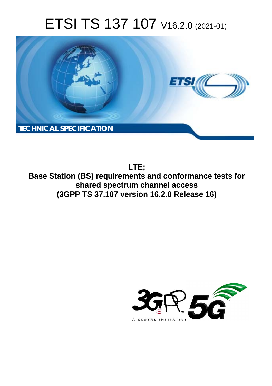# ETSI TS 137 107 V16.2.0 (2021-01)



**LTE; Base Station (BS) requirements and conformance tests for shared spectrum channel access (3GPP TS 37.107 version 16.2.0 Release 16)** 

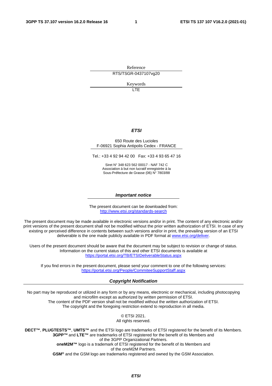Reference RTS/TSGR-0437107vg20

Keywords

LTE

#### *ETSI*

#### 650 Route des Lucioles F-06921 Sophia Antipolis Cedex - FRANCE

Tel.: +33 4 92 94 42 00 Fax: +33 4 93 65 47 16

Siret N° 348 623 562 00017 - NAF 742 C Association à but non lucratif enregistrée à la Sous-Préfecture de Grasse (06) N° 7803/88

#### *Important notice*

The present document can be downloaded from: <http://www.etsi.org/standards-search>

The present document may be made available in electronic versions and/or in print. The content of any electronic and/or print versions of the present document shall not be modified without the prior written authorization of ETSI. In case of any existing or perceived difference in contents between such versions and/or in print, the prevailing version of an ETSI deliverable is the one made publicly available in PDF format at [www.etsi.org/deliver](http://www.etsi.org/deliver).

Users of the present document should be aware that the document may be subject to revision or change of status. Information on the current status of this and other ETSI documents is available at <https://portal.etsi.org/TB/ETSIDeliverableStatus.aspx>

If you find errors in the present document, please send your comment to one of the following services: <https://portal.etsi.org/People/CommiteeSupportStaff.aspx>

#### *Copyright Notification*

No part may be reproduced or utilized in any form or by any means, electronic or mechanical, including photocopying and microfilm except as authorized by written permission of ETSI. The content of the PDF version shall not be modified without the written authorization of ETSI. The copyright and the foregoing restriction extend to reproduction in all media.

> © ETSI 2021. All rights reserved.

**DECT™**, **PLUGTESTS™**, **UMTS™** and the ETSI logo are trademarks of ETSI registered for the benefit of its Members. **3GPP™** and **LTE™** are trademarks of ETSI registered for the benefit of its Members and of the 3GPP Organizational Partners. **oneM2M™** logo is a trademark of ETSI registered for the benefit of its Members and of the oneM2M Partners. **GSM®** and the GSM logo are trademarks registered and owned by the GSM Association.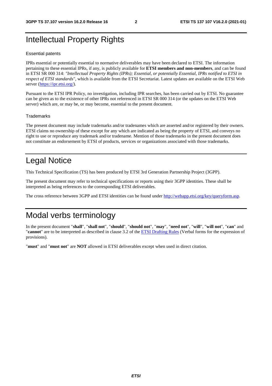# Intellectual Property Rights

#### Essential patents

IPRs essential or potentially essential to normative deliverables may have been declared to ETSI. The information pertaining to these essential IPRs, if any, is publicly available for **ETSI members and non-members**, and can be found in ETSI SR 000 314: *"Intellectual Property Rights (IPRs); Essential, or potentially Essential, IPRs notified to ETSI in respect of ETSI standards"*, which is available from the ETSI Secretariat. Latest updates are available on the ETSI Web server [\(https://ipr.etsi.org/](https://ipr.etsi.org/)).

Pursuant to the ETSI IPR Policy, no investigation, including IPR searches, has been carried out by ETSI. No guarantee can be given as to the existence of other IPRs not referenced in ETSI SR 000 314 (or the updates on the ETSI Web server) which are, or may be, or may become, essential to the present document.

#### **Trademarks**

The present document may include trademarks and/or tradenames which are asserted and/or registered by their owners. ETSI claims no ownership of these except for any which are indicated as being the property of ETSI, and conveys no right to use or reproduce any trademark and/or tradename. Mention of those trademarks in the present document does not constitute an endorsement by ETSI of products, services or organizations associated with those trademarks.

# Legal Notice

This Technical Specification (TS) has been produced by ETSI 3rd Generation Partnership Project (3GPP).

The present document may refer to technical specifications or reports using their 3GPP identities. These shall be interpreted as being references to the corresponding ETSI deliverables.

The cross reference between 3GPP and ETSI identities can be found under<http://webapp.etsi.org/key/queryform.asp>.

# Modal verbs terminology

In the present document "**shall**", "**shall not**", "**should**", "**should not**", "**may**", "**need not**", "**will**", "**will not**", "**can**" and "**cannot**" are to be interpreted as described in clause 3.2 of the [ETSI Drafting Rules](https://portal.etsi.org/Services/editHelp!/Howtostart/ETSIDraftingRules.aspx) (Verbal forms for the expression of provisions).

"**must**" and "**must not**" are **NOT** allowed in ETSI deliverables except when used in direct citation.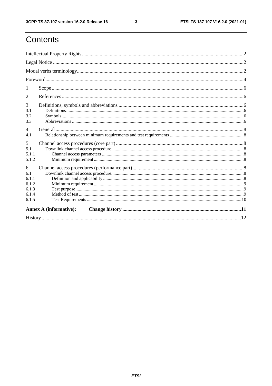ETSI TS 137 107 V16.2.0 (2021-01)

# Contents

| 1                                                     |  |  |  |  |  |
|-------------------------------------------------------|--|--|--|--|--|
| 2                                                     |  |  |  |  |  |
| 3<br>3.1<br>3.2<br>3.3                                |  |  |  |  |  |
| $\overline{4}$<br>4.1                                 |  |  |  |  |  |
| 5<br>5.1<br>5.1.1<br>5.1.2                            |  |  |  |  |  |
| 6<br>6.1<br>6.1.1<br>6.1.2<br>6.1.3<br>6.1.4<br>6.1.5 |  |  |  |  |  |
| <b>Annex A (informative):</b>                         |  |  |  |  |  |
|                                                       |  |  |  |  |  |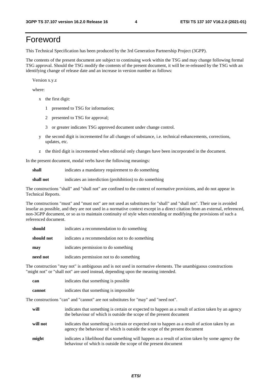# Foreword

This Technical Specification has been produced by the 3rd Generation Partnership Project (3GPP).

The contents of the present document are subject to continuing work within the TSG and may change following formal TSG approval. Should the TSG modify the contents of the present document, it will be re-released by the TSG with an identifying change of release date and an increase in version number as follows:

Version x.y.z

where:

- x the first digit:
	- 1 presented to TSG for information;
	- 2 presented to TSG for approval;
	- 3 or greater indicates TSG approved document under change control.
- y the second digit is incremented for all changes of substance, i.e. technical enhancements, corrections, updates, etc.
- z the third digit is incremented when editorial only changes have been incorporated in the document.

In the present document, modal verbs have the following meanings:

**shall** indicates a mandatory requirement to do something

**shall not** indicates an interdiction (prohibition) to do something

The constructions "shall" and "shall not" are confined to the context of normative provisions, and do not appear in Technical Reports.

The constructions "must" and "must not" are not used as substitutes for "shall" and "shall not". Their use is avoided insofar as possible, and they are not used in a normative context except in a direct citation from an external, referenced, non-3GPP document, or so as to maintain continuity of style when extending or modifying the provisions of such a referenced document.

| should     | indicates a recommendation to do something     |
|------------|------------------------------------------------|
| should not | indicates a recommendation not to do something |
| may        | indicates permission to do something           |
| need not   | indicates permission not to do something       |

The construction "may not" is ambiguous and is not used in normative elements. The unambiguous constructions "might not" or "shall not" are used instead, depending upon the meaning intended.

| can    | indicates that something is possible.  |
|--------|----------------------------------------|
| cannot | indicates that something is impossible |

The constructions "can" and "cannot" are not substitutes for "may" and "need not".

| will     | indicates that something is certain or expected to happen as a result of action taken by an agency<br>the behaviour of which is outside the scope of the present document     |
|----------|-------------------------------------------------------------------------------------------------------------------------------------------------------------------------------|
| will not | indicates that something is certain or expected not to happen as a result of action taken by an<br>agency the behaviour of which is outside the scope of the present document |
| might    | indicates a likelihood that something will happen as a result of action taken by some agency the<br>behaviour of which is outside the scope of the present document           |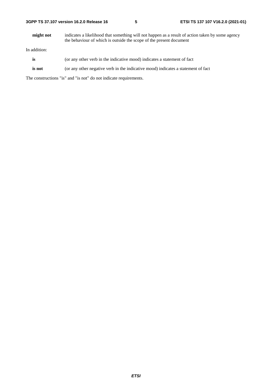**might not** indicates a likelihood that something will not happen as a result of action taken by some agency the behaviour of which is outside the scope of the present document

In addition:

- **is** (or any other verb in the indicative mood) indicates a statement of fact
- **is not** (or any other negative verb in the indicative mood) indicates a statement of fact

The constructions "is" and "is not" do not indicate requirements.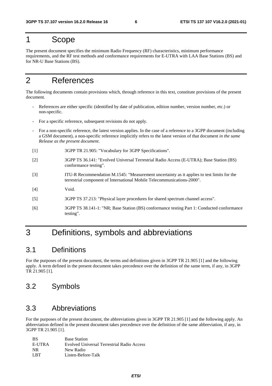# 1 Scope

The present document specifies the minimum Radio Frequency (RF) characteristics, minimum performance requirements, and the RF test methods and conformance requirements for E-UTRA with LAA Base Stations (BS) and for NR-U Base Stations (BS).

# 2 References

The following documents contain provisions which, through reference in this text, constitute provisions of the present document.

- References are either specific (identified by date of publication, edition number, version number, etc.) or non-specific.
- For a specific reference, subsequent revisions do not apply.
- For a non-specific reference, the latest version applies. In the case of a reference to a 3GPP document (including a GSM document), a non-specific reference implicitly refers to the latest version of that document *in the same Release as the present document*.
- [1] 3GPP TR 21.905: "Vocabulary for 3GPP Specifications".
- [2] 3GPP TS 36.141: "Evolved Universal Terrestrial Radio Access (E-UTRA); Base Station (BS) conformance testing".
- [3] ITU-R Recommendation M.1545: "Measurement uncertainty as it applies to test limits for the terrestrial component of International Mobile Telecommunications-2000".
- [4] Void.
- [5] 3GPP TS 37.213: "Physical layer procedures for shared spectrum channel access".
- [6] 3GPP TS 38.141-1: "NR; Base Station (BS) conformance testing Part 1: Conducted conformance testing".

# 3 Definitions, symbols and abbreviations

### 3.1 Definitions

For the purposes of the present document, the terms and definitions given in 3GPP TR 21.905 [1] and the following apply. A term defined in the present document takes precedence over the definition of the same term, if any, in 3GPP TR 21.905 [1].

### 3.2 Symbols

### 3.3 Abbreviations

For the purposes of the present document, the abbreviations given in 3GPP TR 21.905 [1] and the following apply. An abbreviation defined in the present document takes precedence over the definition of the same abbreviation, if any, in 3GPP TR 21.905 [1].

| <b>BS</b> | <b>Base Station</b>                        |
|-----------|--------------------------------------------|
| E-UTRA    | Evolved Universal Terrestrial Radio Access |
| NR.       | New Radio                                  |
| L RT      | Listen-Before-Talk                         |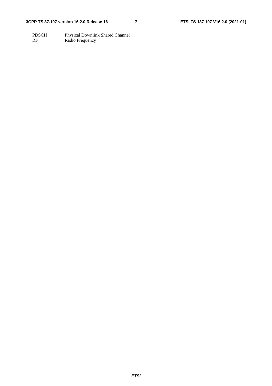PDSCH Physical Downlink Shared Channel RF Radio Frequency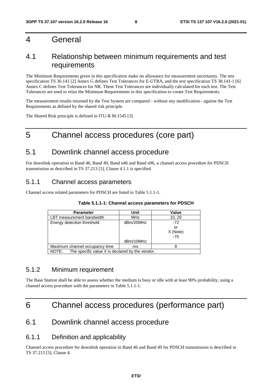### 4 General

### 4.1 Relationship between minimum requirements and test requirements

The Minimum Requirements given in this specification make no allowance for measurement uncertainty. The test specification TS 36.141 [2] Annex G defines Test Tolerances for E-UTRA, and the test specification TS 38.141-1 [6] Annex C defines Test Tolerances for NR. These Test Tolerances are individually calculated for each test. The Test Tolerances are used to relax the Minimum Requirements in this specification to create Test Requirements.

The measurement results returned by the Test System are compared - without any modification - against the Test Requirements as defined by the shared risk principle.

The Shared Risk principle is defined in ITU-R M.1545 [3].

# 5 Channel access procedures (core part)

### 5.1 Downlink channel access procedure

For downlink operation in Band 46, Band 49, Band n46 and Band n96, a channel access procedure for PDSCH transmission as described in TS 37.213 [5], Clause 4.1.1 is specified.

### 5.1.1 Channel access parameters

Channel access related parameters for PDSCH are listed in Table 5.1.1-1.

| <b>Parameter</b>                                         | Unit       | Value    |  |
|----------------------------------------------------------|------------|----------|--|
| LBT measurement bandwidth                                | <b>MHz</b> | 10, 20   |  |
| Energy detection threshold                               | dBm/20MHz  | $-72$    |  |
|                                                          |            | or       |  |
|                                                          |            | X (Note) |  |
|                                                          |            | $-75$    |  |
|                                                          | dBm/10MHz  |          |  |
| Maximum channel occupancy time                           | ms         |          |  |
| The specific value X is declared by the vendor.<br>NOTE: |            |          |  |

#### **Table 5.1.1-1: Channel access parameters for PDSCH**

### 5.1.2 Minimum requirement

The Base Station shall be able to assess whether the medium is busy or idle with at least 90% probability, using a channel access procedure with the parameters in Table 5.1.1-1.

# 6 Channel access procedures (performance part)

### 6.1 Downlink channel access procedure

### 6.1.1 Definition and applicability

Channel access procedure for downlink operation in Band 46 and Band 49 for PDSCH transmission is described in TS 37.213 [5], Clause 4.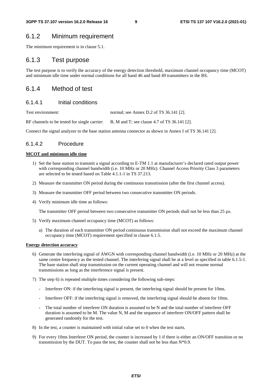### 6.1.2 Minimum requirement

The minimum requirement is in clause 5.1.

#### 6.1.3 Test purpose

The test purpose is to verify the accuracy of the energy detection threshold, maximum channel occupancy time (MCOT) and minimum idle time under normal conditions for all band 46 and band 49 transmitters in the BS.

### 6.1.4 Method of test

#### 6.1.4.1 Initial conditions

Test environment: normal; see Annex D.2 of TS 36.141 [2].

RF channels to be tested for single carrier: B, M and T; see clause 4.7 of TS 36.141 [2].

Connect the signal analyzer to the base station antenna connector as shown in Annex I of TS 36.141 [2].

#### 6.1.4.2 Procedure

#### **MCOT and minimum idle time**

- 1) Set the base station to transmit a signal according to E-TM 1.1 at manufacturer's declared rated output power with corresponding channel bandwidth (i.e. 10 MHz or 20 MHz). Channel Access Priority Class 3 parameters are selected to be tested based on Table 4.1.1-1 in TS 37.213.
- 2) Measure the transmitter ON period during the continuous transmission (after the first channel access).
- 3) Measure the transmitter OFF period between two consecutive transmitter ON periods.
- 4) Verify minimum idle time as follows:

The transmitter OFF period between two consecutive transmitter ON periods shall not be less than 25 µs.

- 5) Verify maximum channel occupancy time (MCOT) as follows:
	- a) The duration of each transmitter ON period continuous transmission shall not exceed the maximum channel occupancy time (MCOT) requirement specified in clause 6.1.5.

#### **Energy detection accuracy**

- 6) Generate the interfering signal of AWGN with corresponding channel bandwidth (i.e. 10 MHz or 20 MHz) at the same centre frequency as the tested channel. The interfering signal shall be at a level as specified in table 6.1.5-1. The base station shall stop transmission on the current operating channel and will not resume normal transmissions as long as the interference signal is present.
- 7) The step 6) is repeated multiple times considering the following sub-steps:
	- Interferer ON: if the interfering signal is present, the interfering signal should be present for 10ms.
	- Interferer OFF: if the interfering signal is removed, the interfering signal should be absent for 10ms.
	- The total number of interferer ON duration is assumed to be N and the total number of interferer OFF duration is assumed to be M. The value N, M and the sequence of interferer ON/OFF pattern shall be generated randomly for the test.
- 8) In the test, a counter is maintained with initial value set to 0 when the test starts.
- 9) For every 10ms Interferer ON period, the counter is increased by 1 if there is either an ON/OFF transition or no transmission by the DUT. To pass the test, the counter shall not be less than  $N*0.9$ .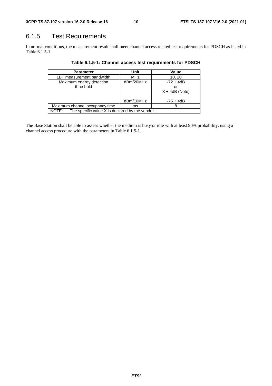# 6.1.5 Test Requirements

In normal conditions, the measurement result shall meet channel access related test requirements for PDSCH as listed in Table 6.1.5-1.

| <b>Parameter</b>                                         | Unit       | Value            |  |
|----------------------------------------------------------|------------|------------------|--|
| LBT measurement bandwidth                                | <b>MHz</b> | 10, 20           |  |
| Maximum energy detection                                 | dBm/20MHz  | $-72 + 4dB$      |  |
| threshold                                                |            | or               |  |
|                                                          |            | $X + 4dB$ (Note) |  |
|                                                          | dBm/10MHz  | $-75 + 4dB$      |  |
| Maximum channel occupancy time                           | ms         |                  |  |
| The specific value X is declared by the vendor.<br>NOTE: |            |                  |  |

**Table 6.1.5-1: Channel access test requirements for PDSCH** 

The Base Station shall be able to assess whether the medium is busy or idle with at least 90% probability, using a channel access procedure with the parameters in Table 6.1.5-1.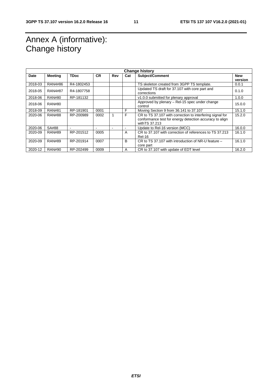# Annex A (informative): Change history

| <b>Change history</b> |                |             |           |     |     |                                                               |            |
|-----------------------|----------------|-------------|-----------|-----|-----|---------------------------------------------------------------|------------|
| <b>Date</b>           | <b>Meeting</b> | <b>TDoc</b> | <b>CR</b> | Rev | Cat | Subject/Comment                                               | <b>New</b> |
|                       |                |             |           |     |     |                                                               | version    |
| 2018-03               | <b>RAN4#86</b> | R4-1802453  |           |     |     | TS skeleton created from 3GPP TS template.                    | 0.0.1      |
| 2018-05               | RAN4#87        | R4-1807758  |           |     |     | Updated TS draft for 37.107 with core part and<br>corrections | 0.1.0      |
| 2018-06               | <b>RAN#80</b>  | RP-181132   |           |     |     | v1.0.0 submitted for plenary approval                         | 1.0.0      |
| 2018-06               | <b>RAN#80</b>  |             |           |     |     | Approved by plenary - Rel-15 spec under change<br>control     | 15.0.0     |
| 2018-09               | <b>RAN#81</b>  | RP-181901   | 0001      |     | F   | Moving Section 9 from 36.141 to 37.107                        | 15.1.0     |
| 2020-06               | <b>RAN#88</b>  | RP-200989   | 0002      |     | F   | CR to TS 37.107 with correction to interfering signal for     | 15.2.0     |
|                       |                |             |           |     |     | conformance test for energy detection accuracy to align       |            |
|                       |                |             |           |     |     | with TS 37.213                                                |            |
| 2020-06               | SA#88          |             | ۰         |     |     | Update to Rel-16 version (MCC)                                | 16.0.0     |
| 2020-09               | <b>RAN#89</b>  | RP-201512   | 0005      |     | A   | CR to 37,107 with correction of references to TS 37,213       | 16.1.0     |
|                       |                |             |           |     |     | <b>Rel-16</b>                                                 |            |
| 2020-09               | <b>RAN#89</b>  | RP-201914   | 0007      |     | B   | CR to TS 37.107 with introduction of NR-U feature -           | 16.1.0     |
|                       |                |             |           |     |     | core part                                                     |            |
| 2020-12               | <b>RAN#90</b>  | RP-202499   | 0009      |     | A   | CR to 37.107 with update of EDT level                         | 16.2.0     |